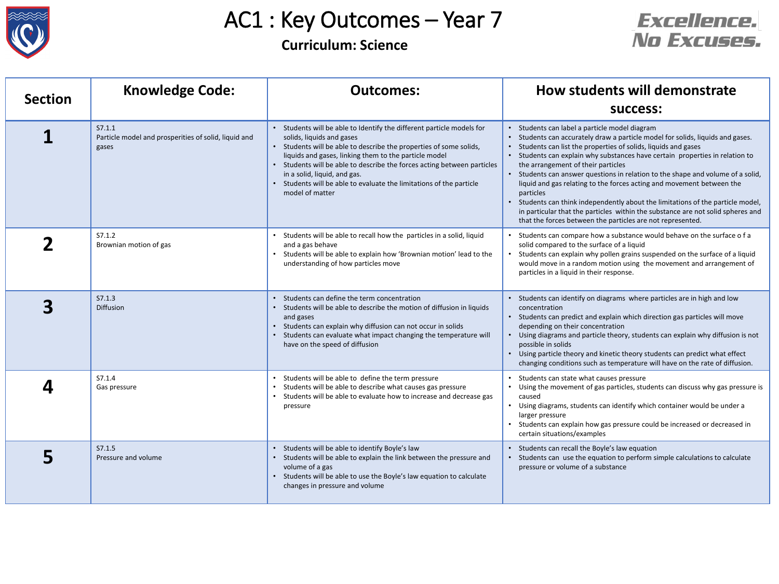

# AC1 : Key Outcomes – Year 7

### **Curriculum: Science**



| <b>Section</b> | <b>Knowledge Code:</b>                                                  | <b>Outcomes:</b>                                                                                                                                                                                                                                                                                                                                                                                                                 | How students will demonstrate<br>success:                                                                                                                                                                                                                                                                                                                                                                                                                                                                                                                                                                                                                                                                                 |
|----------------|-------------------------------------------------------------------------|----------------------------------------------------------------------------------------------------------------------------------------------------------------------------------------------------------------------------------------------------------------------------------------------------------------------------------------------------------------------------------------------------------------------------------|---------------------------------------------------------------------------------------------------------------------------------------------------------------------------------------------------------------------------------------------------------------------------------------------------------------------------------------------------------------------------------------------------------------------------------------------------------------------------------------------------------------------------------------------------------------------------------------------------------------------------------------------------------------------------------------------------------------------------|
|                | S7.1.1<br>Particle model and prosperities of solid, liquid and<br>gases | Students will be able to Identify the different particle models for<br>solids, liquids and gases<br>• Students will be able to describe the properties of some solids,<br>liquids and gases, linking them to the particle model<br>Students will be able to describe the forces acting between particles<br>in a solid, liquid, and gas.<br>Students will be able to evaluate the limitations of the particle<br>model of matter | Students can label a particle model diagram<br>Students can accurately draw a particle model for solids, liquids and gases.<br>Students can list the properties of solids, liquids and gases<br>Students can explain why substances have certain properties in relation to<br>the arrangement of their particles<br>Students can answer questions in relation to the shape and volume of a solid,<br>liquid and gas relating to the forces acting and movement between the<br>particles<br>Students can think independently about the limitations of the particle model,<br>in particular that the particles within the substance are not solid spheres and<br>that the forces between the particles are not represented. |
|                | S7.1.2<br>Brownian motion of gas                                        | Students will be able to recall how the particles in a solid, liquid<br>and a gas behave<br>Students will be able to explain how 'Brownian motion' lead to the<br>understanding of how particles move                                                                                                                                                                                                                            | Students can compare how a substance would behave on the surface o f a<br>solid compared to the surface of a liquid<br>Students can explain why pollen grains suspended on the surface of a liquid<br>would move in a random motion using the movement and arrangement of<br>particles in a liquid in their response.                                                                                                                                                                                                                                                                                                                                                                                                     |
|                | S7.1.3<br>Diffusion                                                     | Students can define the term concentration<br>Students will be able to describe the motion of diffusion in liquids<br>and gases<br>Students can explain why diffusion can not occur in solids<br>Students can evaluate what impact changing the temperature will<br>have on the speed of diffusion                                                                                                                               | • Students can identify on diagrams where particles are in high and low<br>concentration<br>• Students can predict and explain which direction gas particles will move<br>depending on their concentration<br>• Using diagrams and particle theory, students can explain why diffusion is not<br>possible in solids<br>• Using particle theory and kinetic theory students can predict what effect<br>changing conditions such as temperature will have on the rate of diffusion.                                                                                                                                                                                                                                         |
|                | S7.1.4<br>Gas pressure                                                  | • Students will be able to define the term pressure<br>Students will be able to describe what causes gas pressure<br>• Students will be able to evaluate how to increase and decrease gas<br>pressure                                                                                                                                                                                                                            | • Students can state what causes pressure<br>• Using the movement of gas particles, students can discuss why gas pressure is<br>caused<br>• Using diagrams, students can identify which container would be under a<br>larger pressure<br>Students can explain how gas pressure could be increased or decreased in<br>certain situations/examples                                                                                                                                                                                                                                                                                                                                                                          |
|                | S7.1.5<br>Pressure and volume                                           | Students will be able to identify Boyle's law<br>Students will be able to explain the link between the pressure and<br>volume of a gas<br>Students will be able to use the Boyle's law equation to calculate<br>changes in pressure and volume                                                                                                                                                                                   | Students can recall the Boyle's law equation<br>Students can use the equation to perform simple calculations to calculate<br>pressure or volume of a substance                                                                                                                                                                                                                                                                                                                                                                                                                                                                                                                                                            |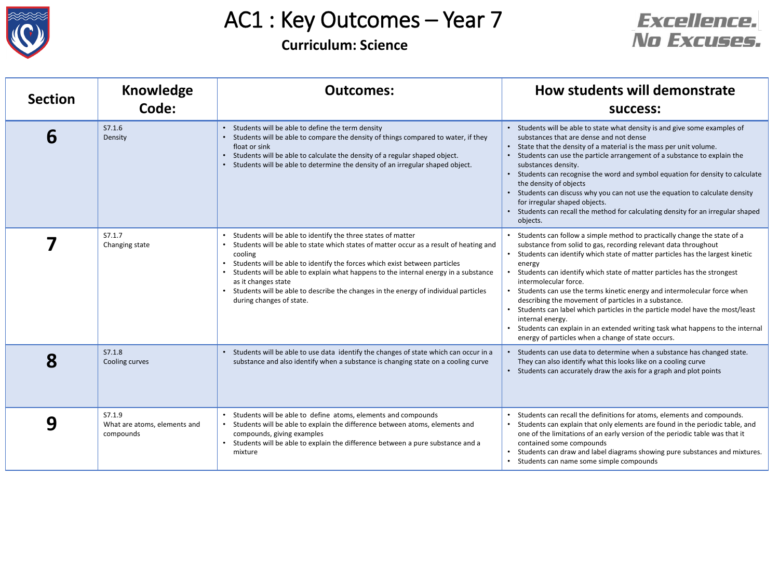

# AC1 : Key Outcomes – Year 7

#### **Curriculum: Science**



| <b>Section</b> | <b>Knowledge</b><br>Code:                           | <b>Outcomes:</b>                                                                                                                                                                                                                                                                                                                                                                                                                                                                     | How students will demonstrate<br><b>SUCCESS:</b>                                                                                                                                                                                                                                                                                                                                                                                                                                                                                                                                                                                                                                                                                              |
|----------------|-----------------------------------------------------|--------------------------------------------------------------------------------------------------------------------------------------------------------------------------------------------------------------------------------------------------------------------------------------------------------------------------------------------------------------------------------------------------------------------------------------------------------------------------------------|-----------------------------------------------------------------------------------------------------------------------------------------------------------------------------------------------------------------------------------------------------------------------------------------------------------------------------------------------------------------------------------------------------------------------------------------------------------------------------------------------------------------------------------------------------------------------------------------------------------------------------------------------------------------------------------------------------------------------------------------------|
| 6              | S7.1.6<br>Density                                   | Students will be able to define the term density<br>• Students will be able to compare the density of things compared to water, if they<br>float or sink<br>Students will be able to calculate the density of a regular shaped object.<br>• Students will be able to determine the density of an irregular shaped object.                                                                                                                                                            | • Students will be able to state what density is and give some examples of<br>substances that are dense and not dense<br>• State that the density of a material is the mass per unit volume.<br>• Students can use the particle arrangement of a substance to explain the<br>substances density.<br>• Students can recognise the word and symbol equation for density to calculate<br>the density of objects<br>• Students can discuss why you can not use the equation to calculate density<br>for irregular shaped objects.<br>• Students can recall the method for calculating density for an irregular shaped<br>objects.                                                                                                                 |
|                | S7.1.7<br>Changing state                            | Students will be able to identify the three states of matter<br>Students will be able to state which states of matter occur as a result of heating and<br>cooling<br>• Students will be able to identify the forces which exist between particles<br>Students will be able to explain what happens to the internal energy in a substance<br>as it changes state<br>• Students will be able to describe the changes in the energy of individual particles<br>during changes of state. | • Students can follow a simple method to practically change the state of a<br>substance from solid to gas, recording relevant data throughout<br>Students can identify which state of matter particles has the largest kinetic<br>$\bullet$<br>energy<br>Students can identify which state of matter particles has the strongest<br>intermolecular force.<br>• Students can use the terms kinetic energy and intermolecular force when<br>describing the movement of particles in a substance.<br>• Students can label which particles in the particle model have the most/least<br>internal energy.<br>• Students can explain in an extended writing task what happens to the internal<br>energy of particles when a change of state occurs. |
| 8              | S7.1.8<br>Cooling curves                            | Students will be able to use data identify the changes of state which can occur in a<br>substance and also identify when a substance is changing state on a cooling curve                                                                                                                                                                                                                                                                                                            | • Students can use data to determine when a substance has changed state.<br>They can also identify what this looks like on a cooling curve<br>• Students can accurately draw the axis for a graph and plot points                                                                                                                                                                                                                                                                                                                                                                                                                                                                                                                             |
| 9              | S7.1.9<br>What are atoms, elements and<br>compounds | Students will be able to define atoms, elements and compounds<br>Students will be able to explain the difference between atoms, elements and<br>compounds, giving examples<br>Students will be able to explain the difference between a pure substance and a<br>mixture                                                                                                                                                                                                              | Students can recall the definitions for atoms, elements and compounds.<br>Students can explain that only elements are found in the periodic table, and<br>one of the limitations of an early version of the periodic table was that it<br>contained some compounds<br>Students can draw and label diagrams showing pure substances and mixtures.<br>Students can name some simple compounds                                                                                                                                                                                                                                                                                                                                                   |